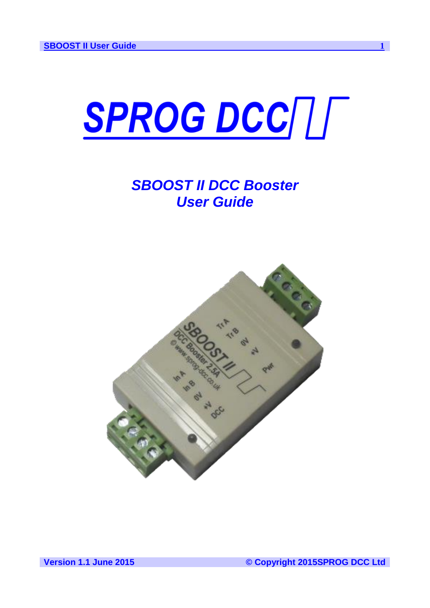

# *SBOOST II DCC Booster User Guide*

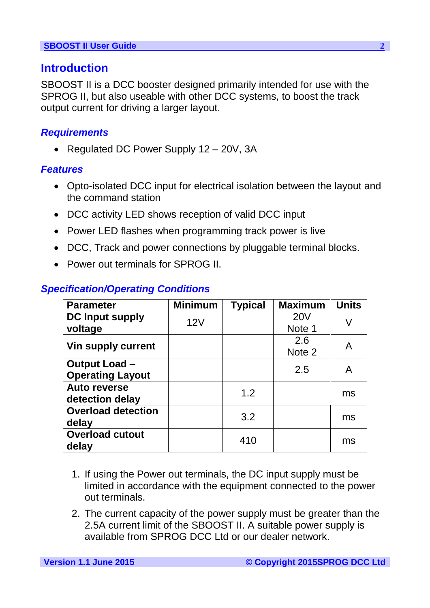# **Introduction**

SBOOST II is a DCC booster designed primarily intended for use with the SPROG II, but also useable with other DCC systems, to boost the track output current for driving a larger layout.

### *Requirements*

• Regulated DC Power Supply 12 – 20V, 3A

### *Features*

- Opto-isolated DCC input for electrical isolation between the layout and the command station
- DCC activity LED shows reception of valid DCC input
- Power LED flashes when programming track power is live
- DCC, Track and power connections by pluggable terminal blocks.
- Power out terminals for SPROG II.

| <b>Parameter</b>                                | <b>Minimum</b> | <b>Typical</b> | <b>Maximum</b>       | <b>Units</b> |
|-------------------------------------------------|----------------|----------------|----------------------|--------------|
| <b>DC Input supply</b><br>voltage               | 12V            |                | <b>20V</b><br>Note 1 | V            |
| <b>Vin supply current</b>                       |                |                | 2.6<br>Note 2        | A            |
| <b>Output Load –</b><br><b>Operating Layout</b> |                |                | 2.5                  | A            |
| <b>Auto reverse</b><br>detection delay          |                | 1.2            |                      | ms           |
| <b>Overload detection</b><br>delay              |                | 3.2            |                      | ms           |
| <b>Overload cutout</b><br>delay                 |                | 410            |                      | ms           |

### *Specification/Operating Conditions*

- 1. If using the Power out terminals, the DC input supply must be limited in accordance with the equipment connected to the power out terminals.
- 2. The current capacity of the power supply must be greater than the 2.5A current limit of the SBOOST II. A suitable power supply is available from SPROG DCC Ltd or our dealer network.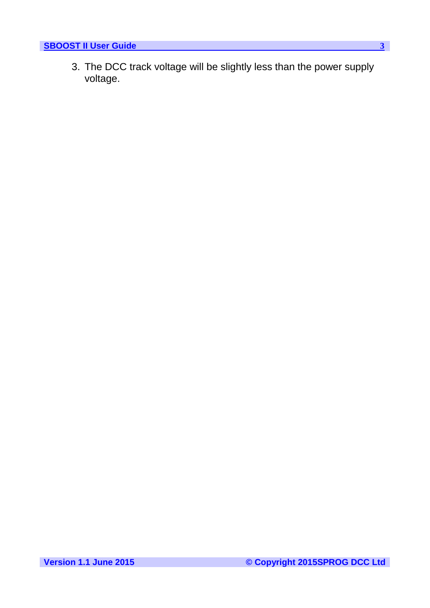3. The DCC track voltage will be slightly less than the power supply voltage.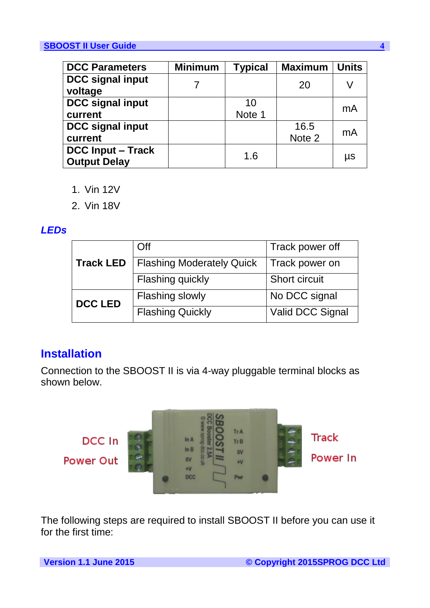| <b>DCC Parameters</b>                           | <b>Minimum</b> | <b>Typical</b> | <b>Maximum</b> | <b>Units</b> |
|-------------------------------------------------|----------------|----------------|----------------|--------------|
| <b>DCC signal input</b><br>voltage              |                |                | 20             | V            |
| <b>DCC signal input</b><br>current              |                | 10<br>Note 1   |                | mA           |
| <b>DCC signal input</b><br>current              |                |                | 16.5<br>Note 2 | mA           |
| <b>DCC Input – Track</b><br><b>Output Delay</b> |                | 1.6            |                | μs           |

- 1. Vin 12V
- 2. Vin 18V

### *LEDs*

|                  | Off                              | Track power off  |  |
|------------------|----------------------------------|------------------|--|
| <b>Track LED</b> | <b>Flashing Moderately Quick</b> | Track power on   |  |
|                  | <b>Flashing quickly</b>          | Short circuit    |  |
| <b>DCC LED</b>   | <b>Flashing slowly</b>           | No DCC signal    |  |
|                  | <b>Flashing Quickly</b>          | Valid DCC Signal |  |

# **Installation**

Connection to the SBOOST II is via 4-way pluggable terminal blocks as shown below.



The following steps are required to install SBOOST II before you can use it for the first time: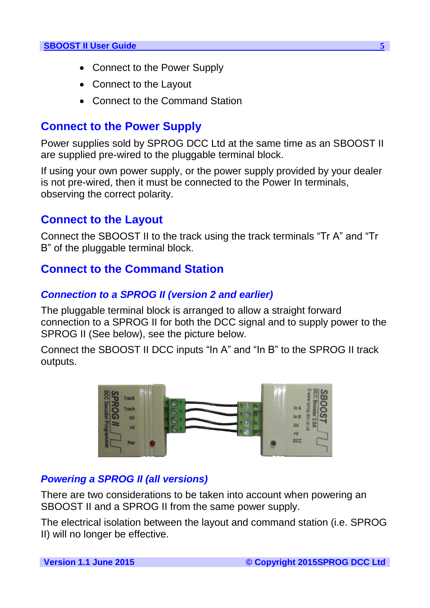- Connect to the Power Supply
- Connect to the Layout
- Connect to the Command Station

# **Connect to the Power Supply**

Power supplies sold by SPROG DCC Ltd at the same time as an SBOOST II are supplied pre-wired to the pluggable terminal block.

If using your own power supply, or the power supply provided by your dealer is not pre-wired, then it must be connected to the Power In terminals, observing the correct polarity.

# **Connect to the Layout**

Connect the SBOOST II to the track using the track terminals "Tr A" and "Tr B" of the pluggable terminal block.

# **Connect to the Command Station**

# *Connection to a SPROG II (version 2 and earlier)*

The pluggable terminal block is arranged to allow a straight forward connection to a SPROG II for both the DCC signal and to supply power to the SPROG II (See below), see the picture below.

Connect the SBOOST II DCC inputs "In A" and "In B" to the SPROG II track outputs.



# *Powering a SPROG II (all versions)*

There are two considerations to be taken into account when powering an SBOOST II and a SPROG II from the same power supply.

The electrical isolation between the layout and command station (i.e. SPROG II) will no longer be effective.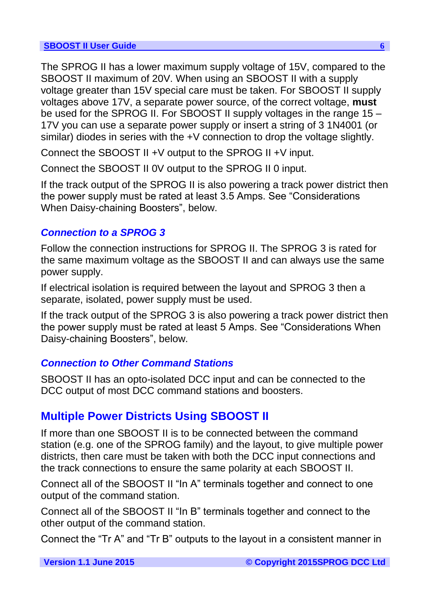The SPROG II has a lower maximum supply voltage of 15V, compared to the SBOOST II maximum of 20V. When using an SBOOST II with a supply voltage greater than 15V special care must be taken. For SBOOST II supply voltages above 17V, a separate power source, of the correct voltage, **must** be used for the SPROG II. For SBOOST II supply voltages in the range 15 – 17V you can use a separate power supply or insert a string of 3 1N4001 (or similar) diodes in series with the +V connection to drop the voltage slightly.

Connect the SBOOST II +V output to the SPROG II +V input.

Connect the SBOOST II 0V output to the SPROG II 0 input.

If the track output of the SPROG II is also powering a track power district then the power supply must be rated at least 3.5 Amps. See "Considerations When Daisy-chaining Boosters", below.

# *Connection to a SPROG 3*

Follow the connection instructions for SPROG II. The SPROG 3 is rated for the same maximum voltage as the SBOOST II and can always use the same power supply.

If electrical isolation is required between the layout and SPROG 3 then a separate, isolated, power supply must be used.

If the track output of the SPROG 3 is also powering a track power district then the power supply must be rated at least 5 Amps. See "Considerations When Daisy-chaining Boosters", below.

# *Connection to Other Command Stations*

SBOOST II has an opto-isolated DCC input and can be connected to the DCC output of most DCC command stations and boosters.

# **Multiple Power Districts Using SBOOST II**

If more than one SBOOST II is to be connected between the command station (e.g. one of the SPROG family) and the layout, to give multiple power districts, then care must be taken with both the DCC input connections and the track connections to ensure the same polarity at each SBOOST II.

Connect all of the SBOOST II "In A" terminals together and connect to one output of the command station.

Connect all of the SBOOST II "In B" terminals together and connect to the other output of the command station.

Connect the "Tr A" and "Tr B" outputs to the layout in a consistent manner in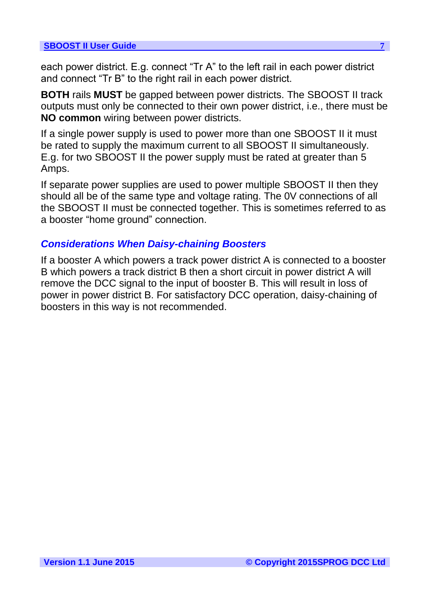each power district. E.g. connect "Tr A" to the left rail in each power district and connect "Tr B" to the right rail in each power district.

**BOTH** rails **MUST** be gapped between power districts. The SBOOST II track outputs must only be connected to their own power district, i.e., there must be **NO common** wiring between power districts.

If a single power supply is used to power more than one SBOOST II it must be rated to supply the maximum current to all SBOOST II simultaneously. E.g. for two SBOOST II the power supply must be rated at greater than 5 Amps.

If separate power supplies are used to power multiple SBOOST II then they should all be of the same type and voltage rating. The 0V connections of all the SBOOST II must be connected together. This is sometimes referred to as a booster "home ground" connection.

### *Considerations When Daisy-chaining Boosters*

If a booster A which powers a track power district A is connected to a booster B which powers a track district B then a short circuit in power district A will remove the DCC signal to the input of booster B. This will result in loss of power in power district B. For satisfactory DCC operation, daisy-chaining of boosters in this way is not recommended.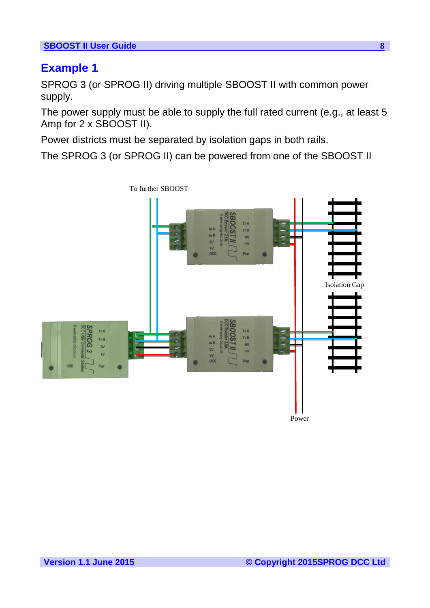# **Example 1**

SPROG 3 (or SPROG II) driving multiple SBOOST II with common power supply.

The power supply must be able to supply the full rated current (e.g., at least 5 Amp for 2 x SBOOST II).

Power districts must be separated by isolation gaps in both rails.

The SPROG 3 (or SPROG II) can be powered from one of the SBOOST II



To further SBOOST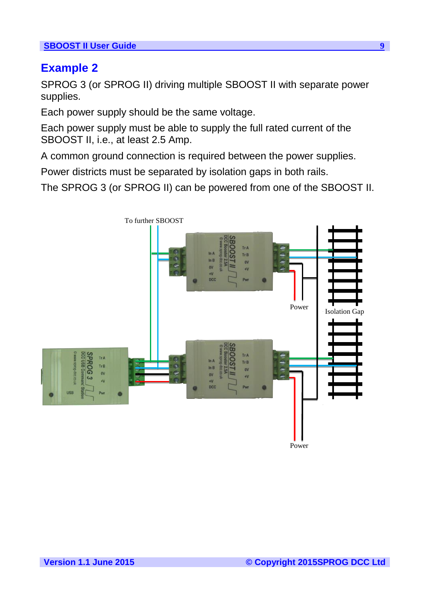### **Example 2**

SPROG 3 (or SPROG II) driving multiple SBOOST II with separate power supplies.

Each power supply should be the same voltage.

Each power supply must be able to supply the full rated current of the SBOOST II, i.e., at least 2.5 Amp.

A common ground connection is required between the power supplies.

Power districts must be separated by isolation gaps in both rails.

The SPROG 3 (or SPROG II) can be powered from one of the SBOOST II.

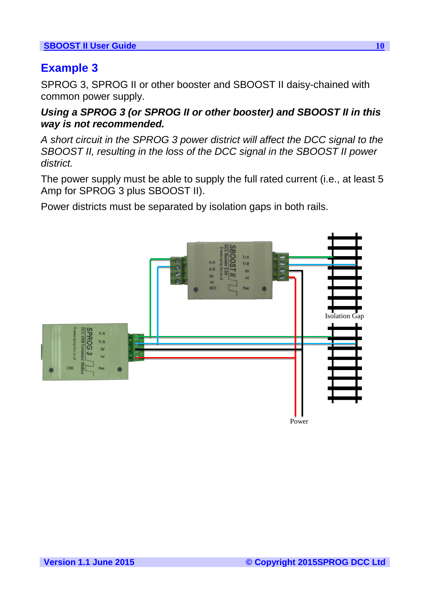# **Example 3**

SPROG 3, SPROG II or other booster and SBOOST II daisy-chained with common power supply.

### *Using a SPROG 3 (or SPROG II or other booster) and SBOOST II in this way is not recommended.*

*A short circuit in the SPROG 3 power district will affect the DCC signal to the SBOOST II, resulting in the loss of the DCC signal in the SBOOST II power district.*

The power supply must be able to supply the full rated current (i.e., at least 5 Amp for SPROG 3 plus SBOOST II).

Power districts must be separated by isolation gaps in both rails.

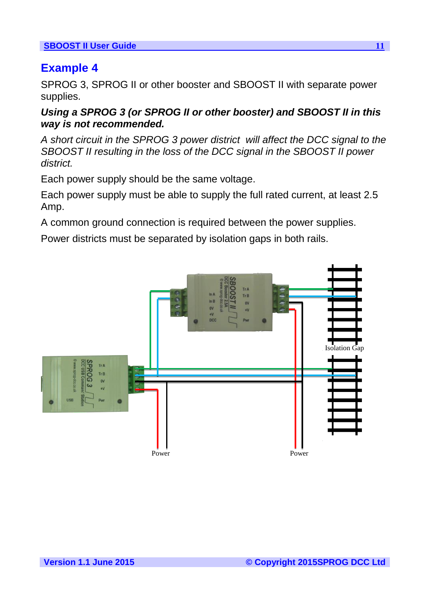# **Example 4**

SPROG 3, SPROG II or other booster and SBOOST II with separate power supplies.

*Using a SPROG 3 (or SPROG II or other booster) and SBOOST II in this way is not recommended.*

*A short circuit in the SPROG 3 power district will affect the DCC signal to the SBOOST II resulting in the loss of the DCC signal in the SBOOST II power district.*

Each power supply should be the same voltage.

Each power supply must be able to supply the full rated current, at least 2.5 Amp.

A common ground connection is required between the power supplies.

Power districts must be separated by isolation gaps in both rails.

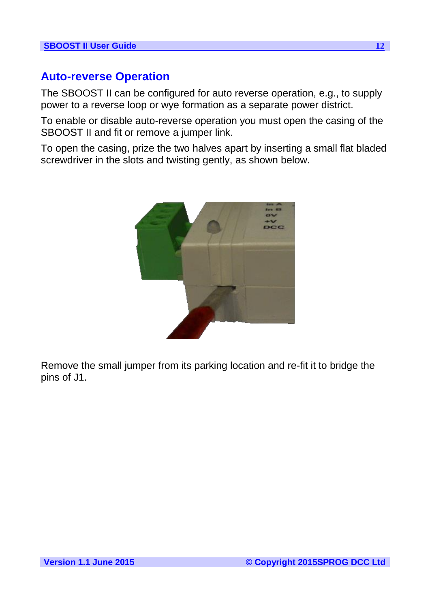# **Auto-reverse Operation**

The SBOOST II can be configured for auto reverse operation, e.g., to supply power to a reverse loop or wye formation as a separate power district.

To enable or disable auto-reverse operation you must open the casing of the SBOOST II and fit or remove a jumper link.

To open the casing, prize the two halves apart by inserting a small flat bladed screwdriver in the slots and twisting gently, as shown below.



Remove the small jumper from its parking location and re-fit it to bridge the pins of J1.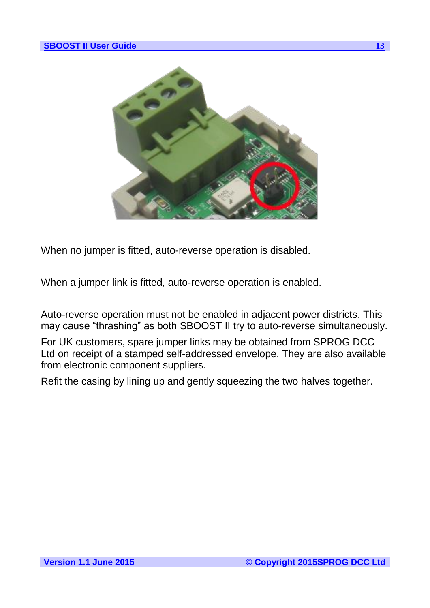

When no jumper is fitted, auto-reverse operation is disabled.

When a jumper link is fitted, auto-reverse operation is enabled.

Auto-reverse operation must not be enabled in adjacent power districts. This may cause "thrashing" as both SBOOST II try to auto-reverse simultaneously.

For UK customers, spare jumper links may be obtained from SPROG DCC Ltd on receipt of a stamped self-addressed envelope. They are also available from electronic component suppliers.

Refit the casing by lining up and gently squeezing the two halves together.